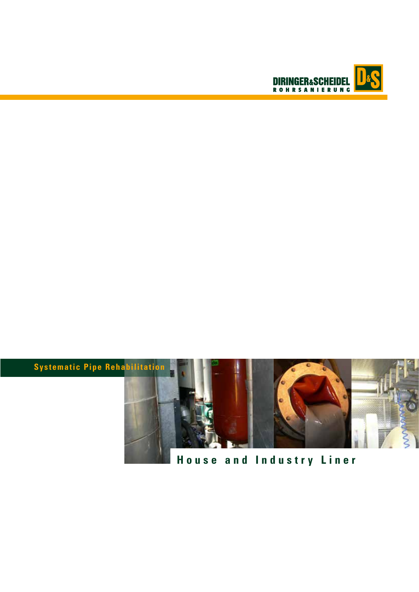



# **House and Industry Liner**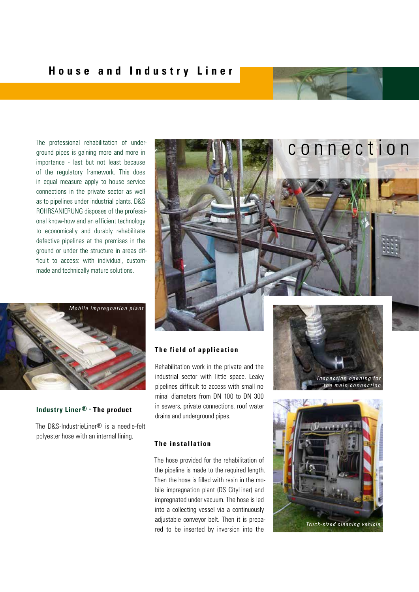The professional rehabilitation of underground pipes is gaining more and more in importance - last but not least because of the regulatory framework. This does in equal measure apply to house service connections in the private sector as well as to pipelines under industrial plants. D&S ROHRSANIERUNG disposes of the professional know-how and an efficient technology to economically and durably rehabilitate defective pipelines at the premises in the ground or under the structure in areas difficult to access: with individual, custommade and technically mature solutions.



#### **Industry Liner® - The product**

The D&S-IndustrieLiner® is a needle-felt polyester hose with an internal lining.



#### **The field of application**

Rehabilitation work in the private and the industrial sector with little space. Leaky pipelines difficult to access with small nominal diameters from DN 100 to DN 300 in sewers, private connections, roof water drains and underground pipes.

# **The installation**

The hose provided for the rehabilitation of the pipeline is made to the required length. Then the hose is filled with resin in the mobile impregnation plant (DS CityLiner) and impregnated under vacuum. The hose is led into a collecting vessel via a continuously adjustable conveyor belt. Then it is prepared to be inserted by inversion into the



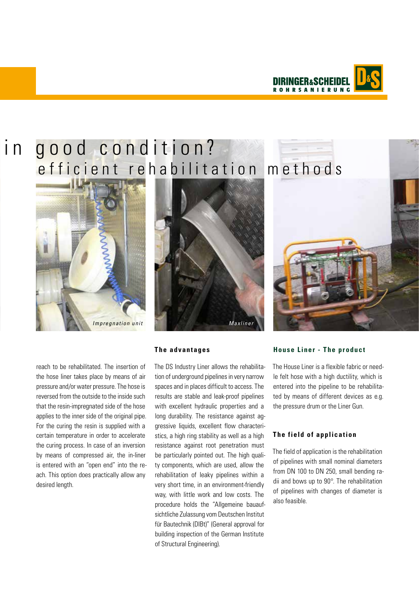

# in good condition? efficient rehabilitation methods







reach to be rehabilitated. The insertion of the hose liner takes place by means of air pressure and/or water pressure. The hose is reversed from the outside to the inside such that the resin-impregnated side of the hose applies to the inner side of the original pipe. For the curing the resin is supplied with a certain temperature in order to accelerate the curing process. In case of an inversion by means of compressed air, the in-liner is entered with an "open end" into the reach. This option does practically allow any desired length.

# The DS Industry Liner allows the rehabilitation of underground pipelines in very narrow spaces and in places difficult to access. The results are stable and leak-proof pipelines with excellent hydraulic properties and a long durability. The resistance against aggressive liquids, excellent flow characteristics, a high ring stability as well as a high resistance against root penetration must be particularly pointed out. The high quality components, which are used, allow the rehabilitation of leaky pipelines within a very short time, in an environment-friendly way, with little work and low costs. The procedure holds the "Allgemeine bauaufsichtliche Zulassung vom Deutschen Institut für Bautechnik (DIBt)" (General approval for building inspection of the German Institute of Structural Engineering).



#### **House Liner - The product**

The House Liner is a flexible fabric or needle felt hose with a high ductility, which is entered into the pipeline to be rehabilitated by means of different devices as e.g. the pressure drum or the Liner Gun.

### **The field of application**

The field of application is the rehabilitation of pipelines with small nominal diameters from DN 100 to DN 250, small bending radii and bows up to 90°. The rehabilitation of pipelines with changes of diameter is also feasible.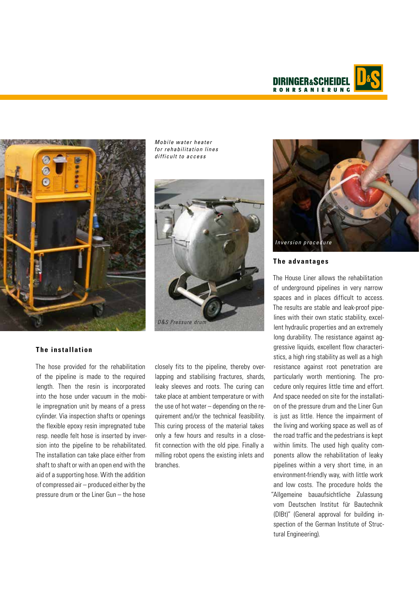



*Mobile water heater* for rehabilitation lines *difficult to access*



#### **The installation**

The hose provided for the rehabilitation of the pipeline is made to the required length. Then the resin is incorporated into the hose under vacuum in the mobile impregnation unit by means of a press cylinder. Via inspection shafts or openings the flexible epoxy resin impregnated tube resp. needle felt hose is inserted by inversion into the pipeline to be rehabilitated. The installation can take place either from shaft to shaft or with an open end with the aid of a supporting hose. With the addition of compressed air – produced either by the pressure drum or the Liner Gun – the hose

closely fits to the pipeline, thereby overlapping and stabilising fractures, shards, leaky sleeves and roots. The curing can take place at ambient temperature or with the use of hot water – depending on the requirement and/or the technical feasibility. This curing process of the material takes only a few hours and results in a closefit connection with the old pipe. Finally a milling robot opens the existing inlets and branches.



#### **The advantages**

The House Liner allows the rehabilitation of underground pipelines in very narrow spaces and in places difficult to access. The results are stable and leak-proof pipelines with their own static stability, excellent hydraulic properties and an extremely long durability. The resistance against aggressive liquids, excellent flow characteristics, a high ring stability as well as a high resistance against root penetration are particularly worth mentioning. The procedure only requires little time and effort. And space needed on site for the installation of the pressure drum and the Liner Gun is just as little. Hence the impairment of the living and working space as well as of the road traffic and the pedestrians is kept within limits. The used high quality components allow the rehabilitation of leaky pipelines within a very short time, in an environment-friendly way, with little work and low costs. The procedure holds the "Allgemeine bauaufsichtliche Zulassung vom Deutschen Institut für Bautechnik (DIBt)" (General approval for building inspection of the German Institute of Structural Engineering).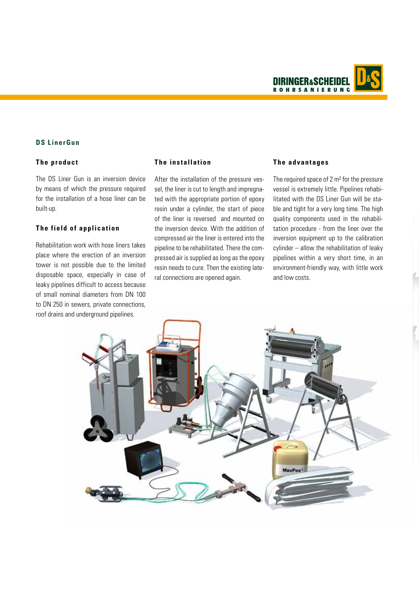**DIRINGER&SCH ROHRSANIERUNG** 

#### **DS LinerGun**

#### **The product**

The DS Liner Gun is an inversion device by means of which the pressure required for the installation of a hose liner can be built-up.

#### **The field of application**

Rehabilitation work with hose liners takes place where the erection of an inversion tower is not possible due to the limited disposable space, especially in case of leaky pipelines difficult to access because of small nominal diameters from DN 100 to DN 250 in sewers, private connections, roof drains and underground pipelines.

#### **The installation**

After the installation of the pressure vessel, the liner is cut to length and impregnated with the appropriate portion of epoxy resin under a cylinder, the start of piece of the liner is reversed and mounted on the inversion device. With the addition of compressed air the liner is entered into the pipeline to be rehabilitated. There the compressed air is supplied as long as the epoxy resin needs to cure. Then the existing lateral connections are opened again.

#### **The advantages**

The required space of 2 m<sup>2</sup> for the pressure vessel is extremely little. Pipelines rehabilitated with the DS Liner Gun will be stable and tight for a very long time. The high quality components used in the rehabilitation procedure - from the liner over the inversion equipment up to the calibration cylinder – allow the rehabilitation of leaky pipelines within a very short time, in an environment-friendly way, with little work and low costs.